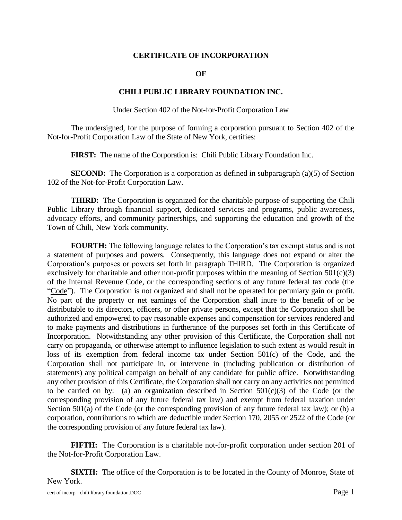#### **CERTIFICATE OF INCORPORATION**

**OF**

#### **CHILI PUBLIC LIBRARY FOUNDATION INC.**

Under Section 402 of the Not-for-Profit Corporation Law

The undersigned, for the purpose of forming a corporation pursuant to Section 402 of the Not-for-Profit Corporation Law of the State of New York, certifies:

**FIRST:** The name of the Corporation is: Chili Public Library Foundation Inc.

**SECOND:** The Corporation is a corporation as defined in subparagraph (a)(5) of Section 102 of the Not-for-Profit Corporation Law.

**THIRD:** The Corporation is organized for the charitable purpose of supporting the Chili Public Library through financial support, dedicated services and programs, public awareness, advocacy efforts, and community partnerships, and supporting the education and growth of the Town of Chili, New York community.

**FOURTH:** The following language relates to the Corporation's tax exempt status and is not a statement of purposes and powers. Consequently, this language does not expand or alter the Corporation's purposes or powers set forth in paragraph THIRD. The Corporation is organized exclusively for charitable and other non-profit purposes within the meaning of Section  $501(c)(3)$ of the Internal Revenue Code, or the corresponding sections of any future federal tax code (the "Code"). The Corporation is not organized and shall not be operated for pecuniary gain or profit. No part of the property or net earnings of the Corporation shall inure to the benefit of or be distributable to its directors, officers, or other private persons, except that the Corporation shall be authorized and empowered to pay reasonable expenses and compensation for services rendered and to make payments and distributions in furtherance of the purposes set forth in this Certificate of Incorporation. Notwithstanding any other provision of this Certificate, the Corporation shall not carry on propaganda, or otherwise attempt to influence legislation to such extent as would result in loss of its exemption from federal income tax under Section 501(c) of the Code, and the Corporation shall not participate in, or intervene in (including publication or distribution of statements) any political campaign on behalf of any candidate for public office. Notwithstanding any other provision of this Certificate, the Corporation shall not carry on any activities not permitted to be carried on by: (a) an organization described in Section  $501(c)(3)$  of the Code (or the corresponding provision of any future federal tax law) and exempt from federal taxation under Section 501(a) of the Code (or the corresponding provision of any future federal tax law); or (b) a corporation, contributions to which are deductible under Section 170, 2055 or 2522 of the Code (or the corresponding provision of any future federal tax law).

**FIFTH:** The Corporation is a charitable not-for-profit corporation under section 201 of the Not-for-Profit Corporation Law.

**SIXTH:** The office of the Corporation is to be located in the County of Monroe, State of New York.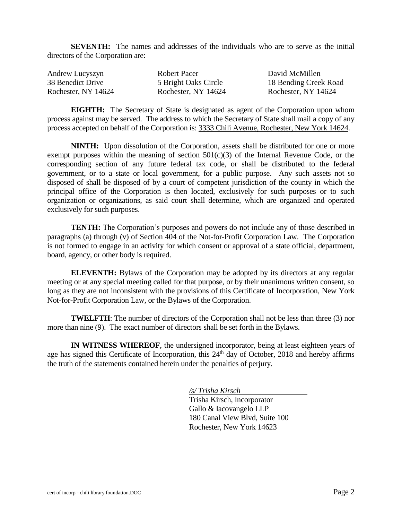**SEVENTH:** The names and addresses of the individuals who are to serve as the initial directors of the Corporation are:

| Andrew Lucyszyn<br>38 Benedict Drive | Robert Pacer         | Dε |
|--------------------------------------|----------------------|----|
|                                      | 5 Bright Oaks Circle | 18 |
| Rochester, NY 14624                  | Rochester, NY 14624  | R  |

avid McMillen 18 Bending Creek Road ochester, NY 14624

**EIGHTH:** The Secretary of State is designated as agent of the Corporation upon whom process against may be served. The address to which the Secretary of State shall mail a copy of any process accepted on behalf of the Corporation is: 3333 Chili Avenue, Rochester, New York 14624.

**NINTH:** Upon dissolution of the Corporation, assets shall be distributed for one or more exempt purposes within the meaning of section  $501(c)(3)$  of the Internal Revenue Code, or the corresponding section of any future federal tax code, or shall be distributed to the federal government, or to a state or local government, for a public purpose. Any such assets not so disposed of shall be disposed of by a court of competent jurisdiction of the county in which the principal office of the Corporation is then located, exclusively for such purposes or to such organization or organizations, as said court shall determine, which are organized and operated exclusively for such purposes.

**TENTH:** The Corporation's purposes and powers do not include any of those described in paragraphs (a) through (v) of Section 404 of the Not-for-Profit Corporation Law. The Corporation is not formed to engage in an activity for which consent or approval of a state official, department, board, agency, or other body is required.

**ELEVENTH:** Bylaws of the Corporation may be adopted by its directors at any regular meeting or at any special meeting called for that purpose, or by their unanimous written consent, so long as they are not inconsistent with the provisions of this Certificate of Incorporation, New York Not-for-Profit Corporation Law, or the Bylaws of the Corporation.

**TWELFTH**: The number of directors of the Corporation shall not be less than three (3) nor more than nine (9). The exact number of directors shall be set forth in the Bylaws.

**IN WITNESS WHEREOF**, the undersigned incorporator, being at least eighteen years of age has signed this Certificate of Incorporation, this  $24<sup>th</sup>$  day of October, 2018 and hereby affirms the truth of the statements contained herein under the penalties of perjury.

*/s/ Trisha Kirsch*

Trisha Kirsch, Incorporator Gallo & Iacovangelo LLP 180 Canal View Blvd, Suite 100 Rochester, New York 14623